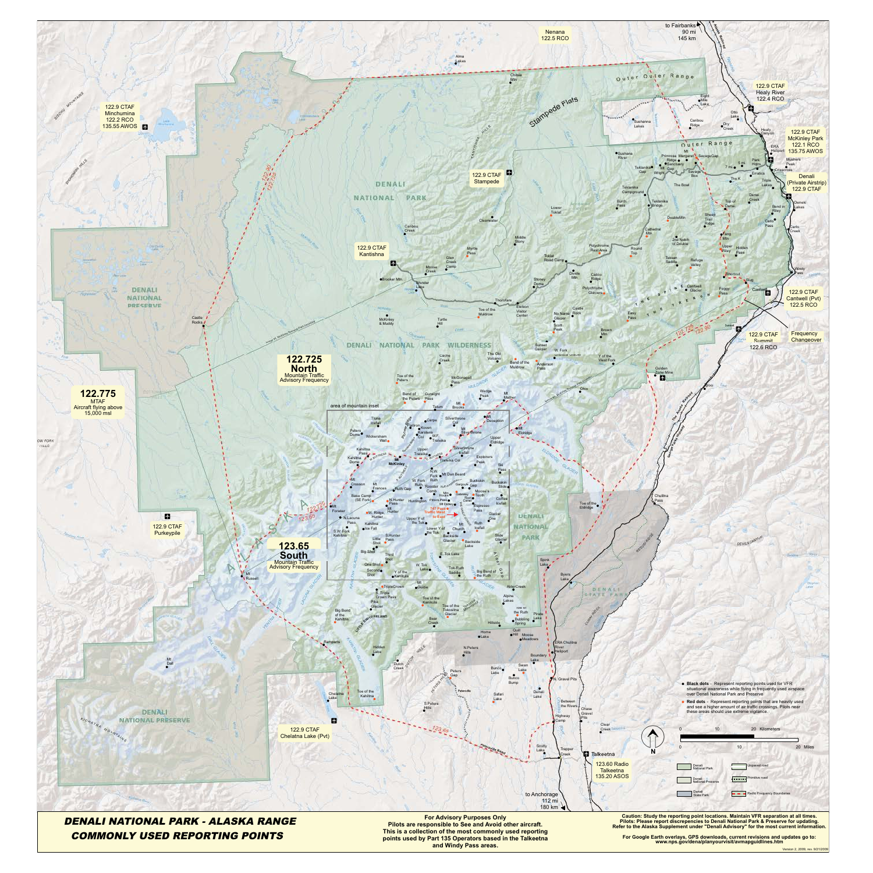

This is a collection of the most commonly used reporting<br>
points used by Part 135 Operators based in the Talkeetna For Google Earth overlays, GPS downloads, current revisions and updates go to:<br>
and Windy Pass areas. The T